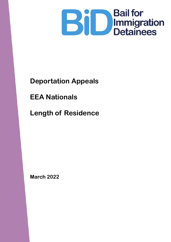

# **Deportation Appeals**

**EEA Nationals**

**Length of Residence**

**March 2022**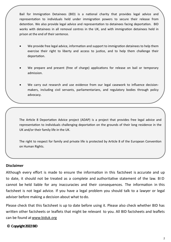Bail for Immigration Detainees (BID) is a national charity that provides legal advice and representation to individuals held under immigration powers to secure their release from detention. We also provide legal advice and representation to detainees facing deportation. BID works with detainees in all removal centres in the UK, and with immigration detainees held in prison at the end of their sentence.

- We provide free legal advice, information and support to immigration detainees to help them exercise their right to liberty and access to justice, and to help them challenge their deportation.
- We prepare and present (free of charge) applications for release on bail or temporary admission.
- We carry out research and use evidence from our legal casework to influence decisionmakers, including civil servants, parliamentarians, and regulatory bodies through policy advocacy.

The Article 8 Deportation Advice project (ADAP) is a project that provides free legal advice and representation to individuals challenging deportation on the grounds of their long residence in the UK and/or their family life in the UK.

The right to respect for family and private life is protected by Article 8 of the European Convention on Human Rights.

#### **Disclaimer**

Although every effort is made to ensure the information in this factsheet is accurate and up to date, it should not be treated as a complete and authoritative statement of the law. B ID cannot be held liable for any inaccuracies and their consequences. The information in this factsheet is not legal advice. If you have a legal problem you should talk to a lawyer or legal adviser before making a decision about what to do.

Please check that this factsheet is up to date before using it. Please also check whether BID has written other factsheets or leaflets that might be relevant to you. All BID factsheets and leaflets can be found at [www.biduk.org](http://www.biduk.org/)

#### **© Copyright 2022 BID**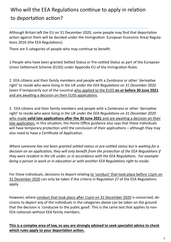### Who will the EEA Regulations continue to apply in relation to deportation action?

Although Britain left the EU on 31 December 2020, some people may find that deportation action against them will be decided under the Immigration European Economic Area) Regulations 2016 (the EEA Regulations).

There are 3 categories of people who may continue to benefit.

1.People who have been granted Settled Status or Pre-settled Status as part of the European Union Settlement Scheme (EUSS) under Appendix EU of the Immigration Rules.

2. EEA citizens and their family members and people with a Zambrano or other 'derivative right' to reside who were *living in the UK under the EEA Regulations on 31 December 2020* (even if temporarily out of the country) who applied to the EUSS **on or before 30 June 2021** and are awaiting a decision on their EUSS applications.

3. EEA citizens and their family members and people with a Zambrano or other 'derivative right' to reside who were *living in the UK under the EEA Regulations on 31 December 2020* who made **valid late applications after the 30 June 2021** and are awaiting a decision on their late application. In this situation, the Home Office guidance also says that these individuals will have temporary protection until the conclusion of their applications – although they may also need to have a Certificate of Application.

*Where someone has not been granted settled status or pre-settled status but is waiting for a decision on an application, they will only benefit from the protection of the EEA Regulations if they were resident in the UK under, or in accordance with the EEA Regulations. For example: being a person in work or in education or with another EEA Regulations right to reside.* 

For these individuals, decisions to deport relating to 'conduct' that took place before 11pm on 31 December 2020 can only be taken if the criteria in Regulation 27 of the EEA Regulations apply.

However, where conduct that took place after 11pm on 31 December 2020 is concerned, decisions to deport any of the individuals in the categories above can be taken on the ground that the decision is 'conducive to the public good'. This is the same test that applies to non-EEA nationals without EEA family members.

#### **This is a complex area of law, so you are strongly advised to seek specialist advice to check which rules apply to your deportation action.**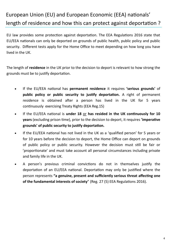### European Union (EU) and European Economic (EEA) nationals' length of residence and how this can protect against deportation ?

EU law provides some protection against deportation. The EEA Regulations 2016 state that EU/EEA nationals can only be deported on grounds of public health, public policy and public security. Different tests apply for the Home Office to meet depending on how long you have lived in the UK.

The length of **residence** in the UK prior to the decision to deport is relevant to how strong the grounds must be to justify deportation.

- If the EU/EEA national has **permanent residence** it requires **'serious grounds'** of **public policy or public security to justify deportation.** A right of permanent residence is obtained after a person has lived in the UK for 5 years continuously exercising Treaty Rights (EEA Reg.15)
- If the EU/EEA national is **under 18** or **has resided in the UK continuously for 10 years** (excluding prison time), prior to the decision to deport, it requires **'imperative grounds' of public security to justify deportation.**
- If the EU/EEA national has not lived in the UK as a 'qualified person' for 5 years or for 10 years before the decision to deport, the Home Office can deport on grounds of public policy or public security. However the decision must still be fair or 'proportionate' and must take account all personal circumstances including private and family life in the UK.
- A person's previous criminal convictions do not in themselves justify the deportation of an EU/EEA national. Deportation may only be justified where the person represents **"a genuine, present and sufficiently serious threat affecting one of the fundamental interests of society**" (Reg. 27 (5) EEA Regulations 2016).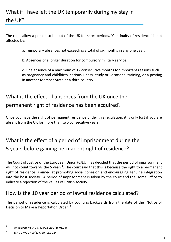# What if I have left the UK temporarily during my stay in the UK?

The rules allow a person to be out of the UK for short periods. `Continuity of residence' is not affected by:

a. Temporary absences not exceeding a total of six months in any one year.

b. Absences of a longer duration for compulsory military service.

c. One absence of a maximum of 12 consecutive months for important reasons such as pregnancy and childbirth, serious illness, study or vocational training, or a posting in another Member State or a third country.

### What is the effect of absences from the UK once the permanent right of residence has been acquired?

Once you have the right of permanent residence under this regulation, it is only lost if you are absent from the UK for more than two consecutive years.

### What is the effect of a period of imprisonment during the 5 years before gaining permanent right of residence?

The Court of Justice of the European Union (CJEU) has decided that the period of imprisonment will not count towards the 5 years<sup>1</sup>. The court said that this is because the right to a permanent right of residence is aimed at promoting social cohesion and encouraging genuine integration into the host society. A period of imprisonment is taken by the court and the Home Office to indicate a rejection of the values of British society.

### How is the 10 year period of lawful residence calculated?

The period of residence is calculated by counting backwards from the date of the `Notice of Decision to Make a Deportation Order.<sup>12</sup>

<sup>1</sup> Onuekwere v SSHD C-378/12 CJEU (16.01.14)

<sup>2</sup> SSHD v MG C-400/12 CJEU (16.01.14)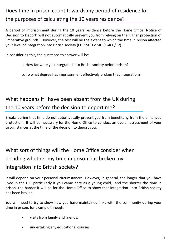# Does time in prison count towards my period of residence for the purposes of calculating the 10 years residence?

A period of imprisonment during the 10 years residence before the Home Office `Notice of Decision to Deport' will not automatically prevent you from relying on the higher protection of 'imperative grounds'. However, the test will be the extent to which the time in prison affected your level of integration into British society (ECJ SSHD v MG (C-400/12).

In considering this, the questions to answer will be:

- a. How far were you integrated into British society before prison?
- b. To what degree has imprisonment effectively broken that integration?

# What happens if I have been absent from the UK during the 10 years before the decision to deport me?

Breaks during that time do not automatically prevent you from benefitting from the enhanced protection. It will be necessary for the Home Office to conduct an overall assessment of your circumstances at the time of the decision to deport you.

What sort of things will the Home Office consider when deciding whether my time in prison has broken my integration into British society?

It will depend on your personal circumstances. However, in general, the longer that you have lived in the UK, particularly if you came here as a young child, and the shorter the time in prison, the harder it will be for the Home Office to show that integration into British society has been broken.

You will need to try to show how you have maintained links with the community during your time in prison, for example through:

- visits from family and friends;
- undertaking any educational courses.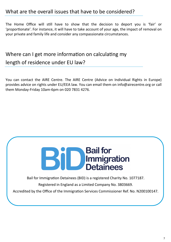### What are the overall issues that have to be considered?

The Home Office will still have to show that the decision to deport you is 'fair' or 'proportionate'. For instance, it will have to take account of your age, the impact of removal on your private and family life and consider any compassionate circumstances.

### Where can I get more information on calculating my length of residence under EU law?

You can contact the AIRE Centre. The AIRE Centre (Advice on Individual Rights in Europe) provides advice on rights under EU/EEA law. You can email them on info@airecentre.org or call them Monday-Friday 10am-6pm on 020 7831 4276.



Bail for Immigration Detainees (BID) is a registered Charity No. 1077187. Registered in England as a Limited Company No. 3803669.

Accredited by the Office of the Immigration Services Commissioner Ref. No. N200100147.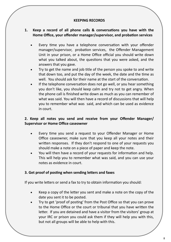#### **KEEPING RECORDS**

#### **1. Keep a record of all phone calls & conversations you have with the Home Office, your offender manager/supervisor, and probation services**

- Every time you have a telephone conversation with your offender manager/supervisor, probation services, the Offender Management Unit in your prison, or a Home Office official you should write down what you talked about, the questions that you were asked, and the answers that you gave.
- Try to get the name and job title of the person you spoke to and write that down too, and put the day of the week, the date and the time as well. You should ask for their name at the start of the conversation.
- If the telephone conversation does not go well, or you hear something you don't like, you should keep calm and try not to get angry. When the phone call is finished write down as much as you can remember of what was said. You will then have a record of discussions that will help you to remember what was said, and which can be used as evidence in court.

#### **2. Keep all notes you send and receive from your Offender Manager/ Supervisor or Home Office caseowner**

- Every time you send a request to your Offender Manager or Home Office caseowner, make sure that you keep all your notes and their written responses. If they don't respond to one of your requests you should make a note on a piece of paper and keep the note.
- You will then have a record of your requests for information and help. This will help you to remember what was said, and you can use your notes as evidence in court.

#### **3. Get proof of posting when sending letters and faxes**

If you write letters or send a fax to try to obtain information you should:

- Keep a copy of the letter you sent and make a note on the copy of the date you sent it to be posted.
- Try to get 'proof of posting' from the Post Office so that you can prove to the Home Office or the court or tribunal that you have written the letter. If you are detained and have a visitor from the visitors' group at your IRC or prison you could ask them if they will help you with this, but not all groups will be able to help with this.